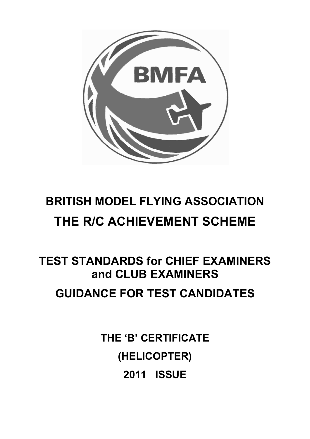

## **BRITISH MODEL FLYING ASSOCIATION THE R/C ACHIEVEMENT SCHEME**

# **TEST STANDARDS for CHIEF EXAMINERS and CLUB EXAMINERS**

## **GUIDANCE FOR TEST CANDIDATES**

**THE 'B' CERTIFICATE (HELICOPTER) 2011 ISSUE**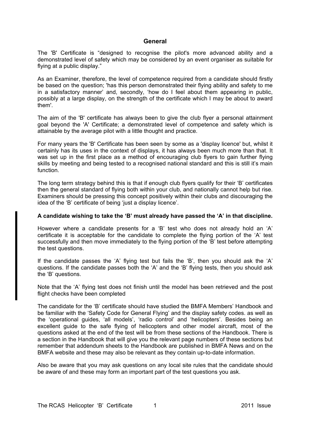#### **General**

The 'B' Certificate is "designed to recognise the pilot's more advanced ability and a demonstrated level of safety which may be considered by an event organiser as suitable for flying at a public display."

As an Examiner, therefore, the level of competence required from a candidate should firstly be based on the question; 'has this person demonstrated their flying ability and safety to me in a satisfactory manner' and, secondly, 'how do I feel about them appearing in public, possibly at a large display, on the strength of the certificate which I may be about to award them'.

The aim of the 'B' certificate has always been to give the club flyer a personal attainment goal beyond the 'A' Certificate; a demonstrated level of competence and safety which is attainable by the average pilot with a little thought and practice.

For many years the 'B' Certificate has been seen by some as a 'display licence' but, whilst it certainly has its uses in the context of displays, it has always been much more than that. It was set up in the first place as a method of encouraging club flyers to gain further flying skills by meeting and being tested to a recognised national standard and this is still it's main function.

The long term strategy behind this is that if enough club flyers qualify for their 'B' certificates then the general standard of flying both within your club, and nationally cannot help but rise. Examiners should be pressing this concept positively within their clubs and discouraging the idea of the 'B' certificate of being 'just a display licence'.

#### **A candidate wishing to take the 'B' must already have passed the 'A' in that discipline.**

However where a candidate presents for a 'B' test who does not already hold an 'A' certificate it is acceptable for the candidate to complete the flying portion of the 'A' test successfully and then move immediately to the flying portion of the 'B' test before attempting the test questions.

If the candidate passes the 'A' flying test but fails the 'B', then you should ask the 'A' questions. If the candidate passes both the 'A' and the 'B' flying tests, then you should ask the 'B' questions.

Note that the 'A' flying test does not finish until the model has been retrieved and the post flight checks have been completed

The candidate for the 'B' certificate should have studied the BMFA Members' Handbook and be familiar with the 'Safety Code for General Flying' and the display safety codes. as well as the 'operational guides, 'all models', 'radio control' and 'helicopters'. Besides being an excellent guide to the safe flying of helicopters and other model aircraft, most of the questions asked at the end of the test will be from these sections of the Handbook. There is a section in the Handbook that will give you the relevant page numbers of these sections but remember that addendum sheets to the Handbook are published in BMFA News and on the BMFA website and these may also be relevant as they contain up-to-date information.

Also be aware that you may ask questions on any local site rules that the candidate should be aware of and these may form an important part of the test questions you ask.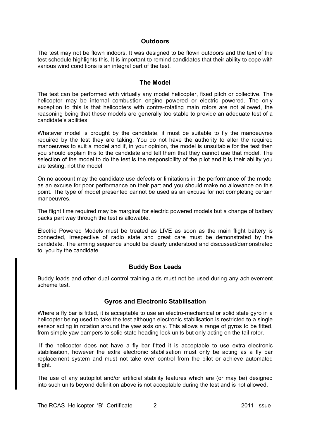#### **Outdoors**

The test may not be flown indoors. It was designed to be flown outdoors and the text of the test schedule highlights this. It is important to remind candidates that their ability to cope with various wind conditions is an integral part of the test.

#### **The Model**

The test can be performed with virtually any model helicopter, fixed pitch or collective. The helicopter may be internal combustion engine powered or electric powered. The only exception to this is that helicopters with contra-rotating main rotors are not allowed, the reasoning being that these models are generally too stable to provide an adequate test of a candidate's abilities.

Whatever model is brought by the candidate, it must be suitable to fly the manoeuvres required by the test they are taking. You do not have the authority to alter the required manoeuvres to suit a model and if, in your opinion, the model is unsuitable for the test then you should explain this to the candidate and tell them that they cannot use that model. The selection of the model to do the test is the responsibility of the pilot and it is their ability you are testing, not the model.

On no account may the candidate use defects or limitations in the performance of the model as an excuse for poor performance on their part and you should make no allowance on this point. The type of model presented cannot be used as an excuse for not completing certain manoeuvres.

The flight time required may be marginal for electric powered models but a change of battery packs part way through the test is allowable.

Electric Powered Models must be treated as LIVE as soon as the main flight battery is connected, irrespective of radio state and great care must be demonstrated by the candidate. The arming sequence should be clearly understood and discussed/demonstrated to you by the candidate.

#### **Buddy Box Leads**

Buddy leads and other dual control training aids must not be used during any achievement scheme test.

#### **Gyros and Electronic Stabilisation**

Where a fly bar is fitted, it is acceptable to use an electro-mechanical or solid state gyro in a helicopter being used to take the test although electronic stabilisation is restricted to a single sensor acting in rotation around the yaw axis only. This allows a range of gyros to be fitted, from simple yaw dampers to solid state heading lock units but only acting on the tail rotor.

 If the helicopter does not have a fly bar fitted it is acceptable to use extra electronic stabilisation, however the extra electronic stabilisation must only be acting as a fly bar replacement system and must not take over control from the pilot or achieve automated flight.

The use of any autopilot and/or artificial stability features which are (or may be) designed into such units beyond definition above is not acceptable during the test and is not allowed.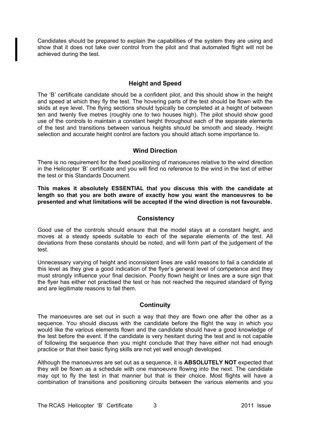Candidates should be prepared to explain the capabilities of the system they are using and show that it does not take over control from the pilot and that automated flight will not be achieved during the test.

#### **Height and Speed**

The 'B' certificate candidate should be a confident pilot, and this should show in the height and speed at which they fly the test. The hovering parts of the test should be flown with the skids at eye level. The flying sections should typically be completed at a height of between ten and twenty five metres (roughly one to two houses high). The pilot should show good use of the controls to maintain a constant height throughout each of the separate elements of the test and transitions between various heights should be smooth and steady. Height selection and accurate height control are factors you should attach some importance to.

#### **Wind Direction**

There is no requirement for the fixed positioning of manoeuvres relative to the wind direction in the Helicopter 'B' certificate and you will find no reference to the wind in the text of either the test or this Standards Document.

**This makes it absolutely ESSENTIAL that you discuss this with the candidate at length so that you are both aware of exactly how you want the manoeuvres to be presented and what limitations will be accepted if the wind direction is not favourable.** 

#### **Consistency**

Good use of the controls should ensure that the model stays at a constant height, and moves at a steady speeds suitable to each of the separate elements of the test. All deviations from these constants should be noted, and will form part of the judgement of the test.

Unnecessary varying of height and inconsistent lines are valid reasons to fail a candidate at this level as they give a good indication of the flyer's general level of competence and they must strongly influence your final decision. Poorly flown height or lines are a sure sign that the flyer has either not practised the test or has not reached the required standard of flying and are legitimate reasons to fail them.

#### **Continuity**

The manoeuvres are set out in such a way that they are flown one after the other as a sequence. You should discuss with the candidate before the flight the way in which you would like the various elements flown and the candidate should have a good knowledge of the test before the event. If the candidate is very hesitant during the test and is not capable of following the sequence then you might conclude that they have either not had enough practice or that their basic flying skills are not yet well enough developed.

Although the manoeuvres are set out as a sequence, it is **ABSOLUTELY NOT** expected that they will be flown as a schedule with one manoeuvre flowing into the next. The candidate may opt to fly the test in that manner but that is their choice. Most flights will have a combination of transitions and positioning circuits between the various elements and you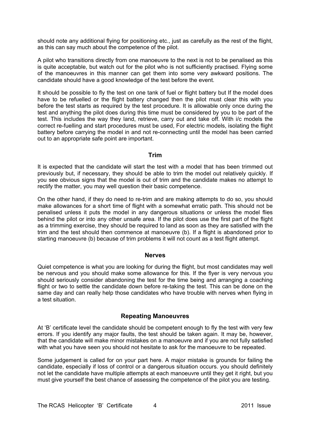should note any additional flying for positioning etc., just as carefully as the rest of the flight, as this can say much about the competence of the pilot.

A pilot who transitions directly from one manoeuvre to the next is not to be penalised as this is quite acceptable, but watch out for the pilot who is not sufficiently practised. Flying some of the manoeuvres in this manner can get them into some very awkward positions. The candidate should have a good knowledge of the test before the event.

It should be possible to fly the test on one tank of fuel or flight battery but If the model does have to be refuelled or the flight battery changed then the pilot must clear this with you before the test starts as required by the test procedure. It is allowable only once during the test and anything the pilot does during this time must be considered by you to be part of the test. This includes the way they land, retrieve, carry out and take off. With i/c models the correct re-fuelling and start procedures must be used, For electric models, isolating the flight battery before carrying the model in and not re-connecting until the model has been carried out to an appropriate safe point are important.

#### **Trim**

It is expected that the candidate will start the test with a model that has been trimmed out previously but, if necessary, they should be able to trim the model out relatively quickly. If you see obvious signs that the model is out of trim and the candidate makes no attempt to rectify the matter, you may well question their basic competence.

On the other hand, if they do need to re-trim and are making attempts to do so, you should make allowances for a short time of flight with a somewhat erratic path. This should not be penalised unless it puts the model in any dangerous situations or unless the model flies behind the pilot or into any other unsafe area. If the pilot does use the first part of the flight as a trimming exercise, they should be required to land as soon as they are satisfied with the trim and the test should then commence at manoeuvre (b). If a flight is abandoned prior to starting manoeuvre (b) because of trim problems it will not count as a test flight attempt.

#### **Nerves**

Quiet competence is what you are looking for during the flight, but most candidates may well be nervous and you should make some allowance for this. If the flyer is very nervous you should seriously consider abandoning the test for the time being and arranging a coaching flight or two to settle the candidate down before re-taking the test. This can be done on the same day and can really help those candidates who have trouble with nerves when flying in a test situation.

#### **Repeating Manoeuvres**

At 'B' certificate level the candidate should be competent enough to fly the test with very few errors. If you identify any major faults, the test should be taken again. It may be, however, that the candidate will make minor mistakes on a manoeuvre and if you are not fully satisfied with what you have seen you should not hesitate to ask for the manoeuvre to be repeated.

Some judgement is called for on your part here. A major mistake is grounds for failing the candidate, especially if loss of control or a dangerous situation occurs. you should definitely not let the candidate have multiple attempts at each manoeuvre until they get it right, but you must give yourself the best chance of assessing the competence of the pilot you are testing.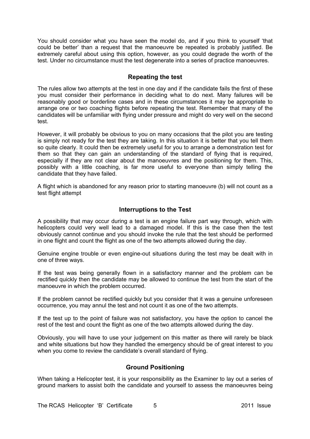You should consider what you have seen the model do, and if you think to yourself 'that could be better' than a request that the manoeuvre be repeated is probably justified. Be extremely careful about using this option, however, as you could degrade the worth of the test. Under no circumstance must the test degenerate into a series of practice manoeuvres.

#### **Repeating the test**

The rules allow two attempts at the test in one day and if the candidate fails the first of these you must consider their performance in deciding what to do next. Many failures will be reasonably good or borderline cases and in these circumstances it may be appropriate to arrange one or two coaching flights before repeating the test. Remember that many of the candidates will be unfamiliar with flying under pressure and might do very well on the second test.

However, it will probably be obvious to you on many occasions that the pilot you are testing is simply not ready for the test they are taking. In this situation it is better that you tell them so quite clearly. It could then be extremely useful for you to arrange a demonstration test for them so that they can gain an understanding of the standard of flying that is required, especially if they are not clear about the manoeuvres and the positioning for them. This, possibly with a little coaching, is far more useful to everyone than simply telling the candidate that they have failed.

A flight which is abandoned for any reason prior to starting manoeuvre (b) will not count as a test flight attempt

#### **Interruptions to the Test**

A possibility that may occur during a test is an engine failure part way through, which with helicopters could very well lead to a damaged model. If this is the case then the test obviously cannot continue and you should invoke the rule that the test should be performed in one flight and count the flight as one of the two attempts allowed during the day.

Genuine engine trouble or even engine-out situations during the test may be dealt with in one of three ways.

If the test was being generally flown in a satisfactory manner and the problem can be rectified quickly then the candidate may be allowed to continue the test from the start of the manoeuvre in which the problem occurred.

If the problem cannot be rectified quickly but you consider that it was a genuine unforeseen occurrence, you may annul the test and not count it as one of the two attempts.

If the test up to the point of failure was not satisfactory, you have the option to cancel the rest of the test and count the flight as one of the two attempts allowed during the day.

Obviously, you will have to use your judgement on this matter as there will rarely be black and white situations but how they handled the emergency should be of great interest to you when you come to review the candidate's overall standard of flying.

#### **Ground Positioning**

When taking a Helicopter test, it is your responsibility as the Examiner to lay out a series of ground markers to assist both the candidate and yourself to assess the manoeuvres being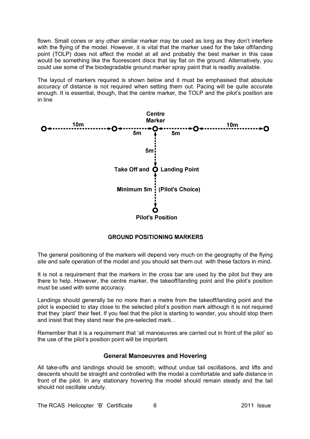flown. Small cones or any other similar marker may be used as long as they don't interfere with the flying of the model. However, it is vital that the marker used for the take off/landing point (TOLP) does not affect the model at all and probably the best marker in this case would be something like the fluorescent discs that lay flat on the ground. Alternatively, you could use some of the biodegradable ground marker spray paint that is readily available.

The layout of markers required is shown below and it must be emphasised that absolute accuracy of distance is not required when setting them out. Pacing will be quite accurate enough. It is essential, though, that the centre marker, the TOLP and the pilot's position are in line



#### **GROUND POSITIONING MARKERS**

The general positioning of the markers will depend very much on the geography of the flying site and safe operation of the model and you should set them out with these factors in mind.

It is not a requirement that the markers in the cross bar are used by the pilot but they are there to help. However, the centre marker, the takeoff/landing point and the pilot's position must be used with some accuracy.

Landings should generally be no more than a metre from the takeoff/landing point and the pilot is expected to stay close to the selected pilot's position mark although it is not required that they 'plant' their feet. If you feel that the pilot is starting to wander, you should stop them and insist that they stand near the pre-selected mark. .

Remember that it is a requirement that 'all manoeuvres are carried out in front of the pilot' so the use of the pilot's position point will be important.

#### **General Manoeuvres and Hovering**

All take-offs and landings should be smooth, without undue tail oscillations, and lifts and descents should be straight and controlled with the model a comfortable and safe distance in front of the pilot. In any stationary hovering the model should remain steady and the tail should not oscillate unduly.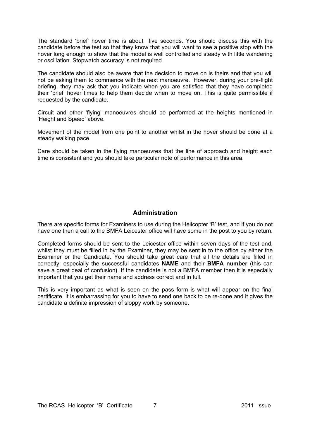The standard 'brief' hover time is about five seconds. You should discuss this with the candidate before the test so that they know that you will want to see a positive stop with the hover long enough to show that the model is well controlled and steady with little wandering or oscillation. Stopwatch accuracy is not required.

The candidate should also be aware that the decision to move on is theirs and that you will not be asking them to commence with the next manoeuvre. However, during your pre-flight briefing, they may ask that you indicate when you are satisfied that they have completed their 'brief' hover times to help them decide when to move on. This is quite permissible if requested by the candidate.

Circuit and other 'flying' manoeuvres should be performed at the heights mentioned in 'Height and Speed' above.

Movement of the model from one point to another whilst in the hover should be done at a steady walking pace.

Care should be taken in the flying manoeuvres that the line of approach and height each time is consistent and you should take particular note of performance in this area.

#### **Administration**

There are specific forms for Examiners to use during the Helicopter 'B' test, and if you do not have one then a call to the BMFA Leicester office will have some in the post to you by return.

Completed forms should be sent to the Leicester office within seven days of the test and, whilst they must be filled in by the Examiner, they may be sent in to the office by either the Examiner or the Candidate. You should take great care that all the details are filled in correctly, especially the successful candidates **NAME** and their **BMFA number** (this can save a great deal of confusion**)**. If the candidate is not a BMFA member then it is especially important that you get their name and address correct and in full.

This is very important as what is seen on the pass form is what will appear on the final certificate. It is embarrassing for you to have to send one back to be re-done and it gives the candidate a definite impression of sloppy work by someone.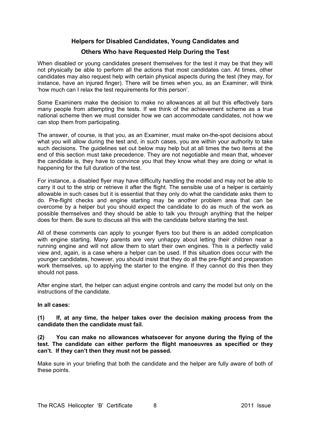#### **Helpers for Disabled Candidates, Young Candidates and**

#### **Others Who have Requested Help During the Test**

When disabled or young candidates present themselves for the test it may be that they will not physically be able to perform all the actions that most candidates can. At times, other candidates may also request help with certain physical aspects during the test (they may, for instance, have an injured finger). There will be times when you, as an Examiner, will think 'how much can I relax the test requirements for this person'.

Some Examiners make the decision to make no allowances at all but this effectively bars many people from attempting the tests. If we think of the achievement scheme as a true national scheme then we must consider how we can accommodate candidates, not how we can stop them from participating.

The answer, of course, is that you, as an Examiner, must make on-the-spot decisions about what you will allow during the test and, in such cases, you are within your authority to take such decisions. The guidelines set out below may help but at all times the two items at the end of this section must take precedence. They are not negotiable and mean that, whoever the candidate is, they have to convince you that they know what they are doing or what is happening for the full duration of the test.

For instance, a disabled flyer may have difficulty handling the model and may not be able to carry it out to the strip or retrieve it after the flight. The sensible use of a helper is certainly allowable in such cases but it is essential that they only do what the candidate asks them to do. Pre-flight checks and engine starting may be another problem area that can be overcome by a helper but you should expect the candidate to do as much of the work as possible themselves and they should be able to talk you through anything that the helper does for them. Be sure to discuss all this with the candidate before starting the test.

All of these comments can apply to younger flyers too but there is an added complication with engine starting. Many parents are very unhappy about letting their children near a running engine and will not allow them to start their own engines. This is a perfectly valid view and, again, is a case where a helper can be used. If this situation does occur with the younger candidates, however, you should insist that they do all the pre-flight and preparation work themselves, up to applying the starter to the engine. If they cannot do this then they should not pass.

After engine start, the helper can adjust engine controls and carry the model but only on the instructions of the candidate.

#### **In all cases:**

#### **(1) If, at any time, the helper takes over the decision making process from the candidate then the candidate must fail.**

#### **(2) You can make no allowances whatsoever for anyone during the flying of the test. The candidate can either perform the flight manoeuvres as specified or they can't. If they can't then they must not be passed.**

Make sure in your briefing that both the candidate and the helper are fully aware of both of these points.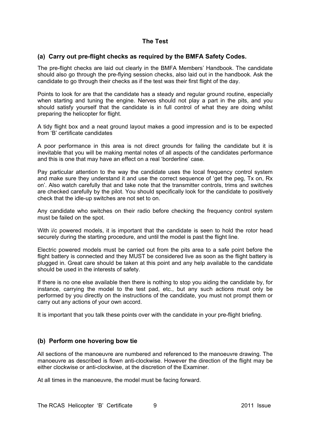#### **The Test**

#### **(a) Carry out pre-flight checks as required by the BMFA Safety Codes.**

The pre-flight checks are laid out clearly in the BMFA Members' Handbook. The candidate should also go through the pre-flying session checks, also laid out in the handbook. Ask the candidate to go through their checks as if the test was their first flight of the day.

Points to look for are that the candidate has a steady and regular ground routine, especially when starting and tuning the engine. Nerves should not play a part in the pits, and you should satisfy yourself that the candidate is in full control of what they are doing whilst preparing the helicopter for flight.

A tidy flight box and a neat ground layout makes a good impression and is to be expected from 'B' certificate candidates

A poor performance in this area is not direct grounds for failing the candidate but it is inevitable that you will be making mental notes of all aspects of the candidates performance and this is one that may have an effect on a real 'borderline' case.

Pay particular attention to the way the candidate uses the local frequency control system and make sure they understand it and use the correct sequence of 'get the peg, Tx on, Rx on'. Also watch carefully that and take note that the transmitter controls, trims and switches are checked carefully by the pilot. You should specifically look for the candidate to positively check that the idle-up switches are not set to on.

Any candidate who switches on their radio before checking the frequency control system must be failed on the spot.

With i/c powered models, it is important that the candidate is seen to hold the rotor head securely during the starting procedure, and until the model is past the flight line.

Electric powered models must be carried out from the pits area to a safe point before the flight battery is connected and they MUST be considered live as soon as the flight battery is plugged in. Great care should be taken at this point and any help available to the candidate should be used in the interests of safety.

If there is no one else available then there is nothing to stop you aiding the candidate by, for instance, carrying the model to the test pad, etc., but any such actions must only be performed by you directly on the instructions of the candidate, you must not prompt them or carry out any actions of your own accord.

It is important that you talk these points over with the candidate in your pre-flight briefing.

#### **(b) Perform one hovering bow tie**

All sections of the manoeuvre are numbered and referenced to the manoeuvre drawing. The manoeuvre as described is flown anti-clockwise. However the direction of the flight may be either clockwise or anti-clockwise, at the discretion of the Examiner.

At all times in the manoeuvre, the model must be facing forward.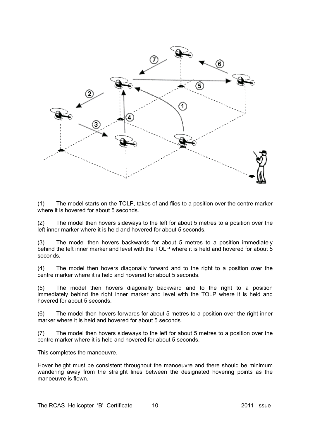

(1) The model starts on the TOLP, takes of and flies to a position over the centre marker where it is hovered for about 5 seconds.

(2) The model then hovers sideways to the left for about 5 metres to a position over the left inner marker where it is held and hovered for about 5 seconds.

(3) The model then hovers backwards for about 5 metres to a position immediately behind the left inner marker and level with the TOLP where it is held and hovered for about 5 seconds.

(4) The model then hovers diagonally forward and to the right to a position over the centre marker where it is held and hovered for about 5 seconds.

(5) The model then hovers diagonally backward and to the right to a position immediately behind the right inner marker and level with the TOLP where it is held and hovered for about 5 seconds.

(6) The model then hovers forwards for about 5 metres to a position over the right inner marker where it is held and hovered for about 5 seconds.

(7) The model then hovers sideways to the left for about 5 metres to a position over the centre marker where it is held and hovered for about 5 seconds.

This completes the manoeuvre.

Hover height must be consistent throughout the manoeuvre and there should be minimum wandering away from the straight lines between the designated hovering points as the manoeuvre is flown.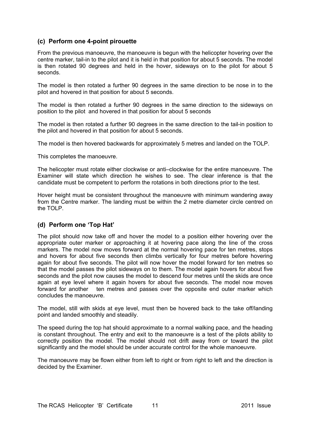#### **(c) Perform one 4-point pirouette**

From the previous manoeuvre, the manoeuvre is begun with the helicopter hovering over the centre marker, tail-in to the pilot and it is held in that position for about 5 seconds. The model is then rotated 90 degrees and held in the hover, sideways on to the pilot for about 5 seconds.

The model is then rotated a further 90 degrees in the same direction to be nose in to the pilot and hovered in that position for about 5 seconds.

The model is then rotated a further 90 degrees in the same direction to the sideways on position to the pilot and hovered in that position for about 5 seconds

The model is then rotated a further 90 degrees in the same direction to the tail-in position to the pilot and hovered in that position for about 5 seconds.

The model is then hovered backwards for approximately 5 metres and landed on the TOLP.

This completes the manoeuvre.

The helicopter must rotate either clockwise or anti–clockwise for the entire manoeuvre. The Examiner will state which direction he wishes to see. The clear inference is that the candidate must be competent to perform the rotations in both directions prior to the test.

Hover height must be consistent throughout the manoeuvre with minimum wandering away from the Centre marker. The landing must be within the 2 metre diameter circle centred on the TOLP.

#### **(d) Perform one 'Top Hat'**

The pilot should now take off and hover the model to a position either hovering over the appropriate outer marker or approaching it at hovering pace along the line of the cross markers. The model now moves forward at the normal hovering pace for ten metres, stops and hovers for about five seconds then climbs vertically for four metres before hovering again for about five seconds. The pilot will now hover the model forward for ten metres so that the model passes the pilot sideways on to them. The model again hovers for about five seconds and the pilot now causes the model to descend four metres until the skids are once again at eye level where it again hovers for about five seconds. The model now moves forward for another ten metres and passes over the opposite end outer marker which concludes the manoeuvre.

The model, still with skids at eye level, must then be hovered back to the take off/landing point and landed smoothly and steadily.

The speed during the top hat should approximate to a normal walking pace, and the heading is constant throughout. The entry and exit to the manoeuvre is a test of the pilots ability to correctly position the model. The model should not drift away from or toward the pilot significantly and the model should be under accurate control for the whole manoeuvre.

The manoeuvre may be flown either from left to right or from right to left and the direction is decided by the Examiner.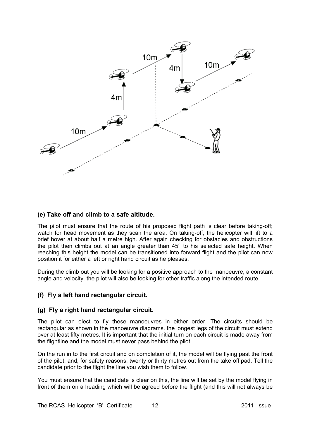

#### **(e) Take off and climb to a safe altitude.**

The pilot must ensure that the route of his proposed flight path is clear before taking-off; watch for head movement as they scan the area. On taking-off, the helicopter will lift to a brief hover at about half a metre high. After again checking for obstacles and obstructions the pilot then climbs out at an angle greater than 45° to his selected safe height. When reaching this height the model can be transitioned into forward flight and the pilot can now position it for either a left or right hand circuit as he pleases.

During the climb out you will be looking for a positive approach to the manoeuvre, a constant angle and velocity. the pilot will also be looking for other traffic along the intended route.

#### **(f) Fly a left hand rectangular circuit.**

#### **(g) Fly a right hand rectangular circuit.**

The pilot can elect to fly these manoeuvres in either order. The circuits should be rectangular as shown in the manoeuvre diagrams. the longest legs of the circuit must extend over at least fifty metres. It is important that the initial turn on each circuit is made away from the flightline and the model must never pass behind the pilot.

On the run in to the first circuit and on completion of it, the model will be flying past the front of the pilot, and, for safety reasons, twenty or thirty metres out from the take off pad. Tell the candidate prior to the flight the line you wish them to follow.

You must ensure that the candidate is clear on this, the line will be set by the model flying in front of them on a heading which will be agreed before the flight (and this will not always be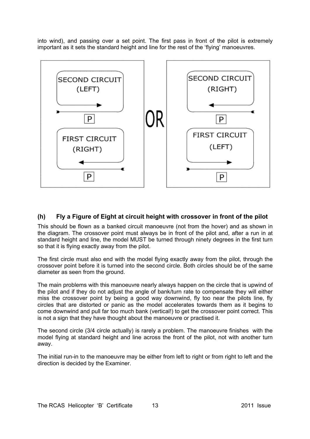into wind), and passing over a set point. The first pass in front of the pilot is extremely important as it sets the standard height and line for the rest of the 'flying' manoeuvres.



#### **(h) Fly a Figure of Eight at circuit height with crossover in front of the pilot**

This should be flown as a banked circuit manoeuvre (not from the hover) and as shown in the diagram. The crossover point must always be in front of the pilot and, after a run in at standard height and line, the model MUST be turned through ninety degrees in the first turn so that it is flying exactly away from the pilot.

The first circle must also end with the model flying exactly away from the pilot, through the crossover point before it is turned into the second circle. Both circles should be of the same diameter as seen from the ground.

The main problems with this manoeuvre nearly always happen on the circle that is upwind of the pilot and if they do not adjust the angle of bank/turn rate to compensate they will either miss the crossover point by being a good way downwind, fly too near the pilots line, fly circles that are distorted or panic as the model accelerates towards them as it begins to come downwind and pull far too much bank (vertical!) to get the crossover point correct. This is not a sign that they have thought about the manoeuvre or practised it.

The second circle (3/4 circle actually) is rarely a problem. The manoeuvre finishes with the model flying at standard height and line across the front of the pilot, not with another turn away.

The initial run-in to the manoeuvre may be either from left to right or from right to left and the direction is decided by the Examiner.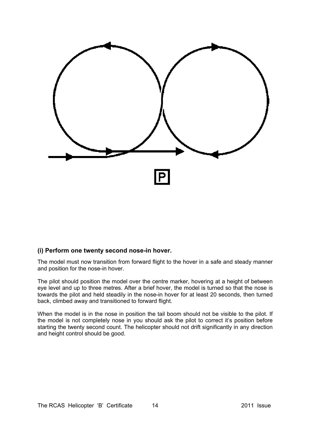

#### **(i) Perform one twenty second nose-in hover.**

The model must now transition from forward flight to the hover in a safe and steady manner and position for the nose-in hover.

The pilot should position the model over the centre marker, hovering at a height of between eye level and up to three metres. After a brief hover, the model is turned so that the nose is towards the pilot and held steadily in the nose-in hover for at least 20 seconds, then turned back, climbed away and transitioned to forward flight.

When the model is in the nose in position the tail boom should not be visible to the pilot. If the model is not completely nose in you should ask the pilot to correct it's position before starting the twenty second count. The helicopter should not drift significantly in any direction and height control should be good.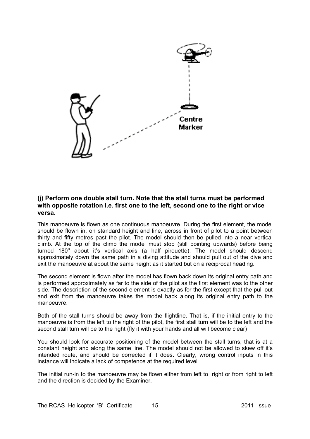

#### **(j) Perform one double stall turn. Note that the stall turns must be performed with opposite rotation i.e. first one to the left, second one to the right or vice versa.**

This manoeuvre is flown as one continuous manoeuvre. During the first element, the model should be flown in, on standard height and line, across in front of pilot to a point between thirty and fifty metres past the pilot. The model should then be pulled into a near vertical climb. At the top of the climb the model must stop (still pointing upwards) before being turned  $180^\circ$  about it's vertical axis (a half pirouette). The model should descend approximately down the same path in a diving attitude and should pull out of the dive and exit the manoeuvre at about the same height as it started but on a reciprocal heading.

The second element is flown after the model has flown back down its original entry path and is performed approximately as far to the side of the pilot as the first element was to the other side. The description of the second element is exactly as for the first except that the pull-out and exit from the manoeuvre takes the model back along its original entry path to the manoeuvre.

Both of the stall turns should be away from the flightline. That is, if the initial entry to the manoeuvre is from the left to the right of the pilot, the first stall turn will be to the left and the second stall turn will be to the right (fly it with your hands and all will become clear)

You should look for accurate positioning of the model between the stall turns, that is at a constant height and along the same line. The model should not be allowed to skew off it's intended route, and should be corrected if it does. Clearly, wrong control inputs in this instance will indicate a lack of competence at the required level

The initial run-in to the manoeuvre may be flown either from left to right or from right to left and the direction is decided by the Examiner.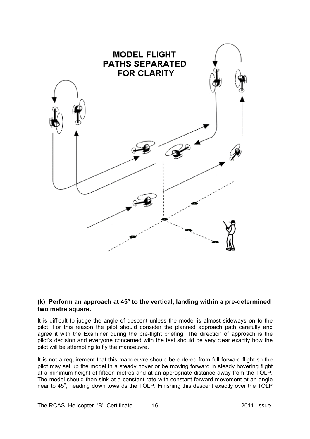

#### **(k) Perform an approach at 45° to the vertical, landing within a pre-determined two metre square.**

It is difficult to judge the angle of descent unless the model is almost sideways on to the pilot. For this reason the pilot should consider the planned approach path carefully and agree it with the Examiner during the pre-flight briefing. The direction of approach is the pilot's decision and everyone concerned with the test should be very clear exactly how the pilot will be attempting to fly the manoeuvre.

It is not a requirement that this manoeuvre should be entered from full forward flight so the pilot may set up the model in a steady hover or be moving forward in steady hovering flight at a minimum height of fifteen metres and at an appropriate distance away from the TOLP. The model should then sink at a constant rate with constant forward movement at an angle near to 45°, heading down towards the TOLP. Finishing this descent exactly over the TOLP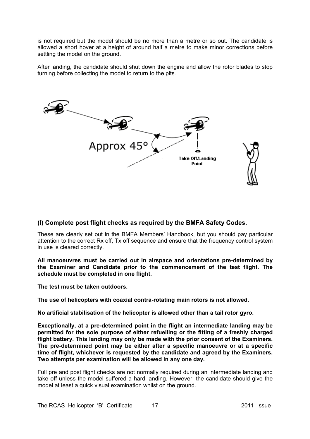is not required but the model should be no more than a metre or so out. The candidate is allowed a short hover at a height of around half a metre to make minor corrections before settling the model on the ground.

After landing, the candidate should shut down the engine and allow the rotor blades to stop turning before collecting the model to return to the pits.



#### **(l) Complete post flight checks as required by the BMFA Safety Codes.**

These are clearly set out in the BMFA Members' Handbook, but you should pay particular attention to the correct Rx off, Tx off sequence and ensure that the frequency control system in use is cleared correctly.

**All manoeuvres must be carried out in airspace and orientations pre-determined by the Examiner and Candidate prior to the commencement of the test flight. The schedule must be completed in one flight.** 

**The test must be taken outdoors.** 

**The use of helicopters with coaxial contra-rotating main rotors is not allowed.** 

**No artificial stabilisation of the helicopter is allowed other than a tail rotor gyro.** 

**Exceptionally, at a pre-determined point in the flight an intermediate landing may be permitted for the sole purpose of either refuelling or the fitting of a freshly charged flight battery. This landing may only be made with the prior consent of the Examiners. The pre-determined point may be either after a specific manoeuvre or at a specific time of flight, whichever is requested by the candidate and agreed by the Examiners. Two attempts per examination will be allowed in any one day.**

Full pre and post flight checks are not normally required during an intermediate landing and take off unless the model suffered a hard landing. However, the candidate should give the model at least a quick visual examination whilst on the ground.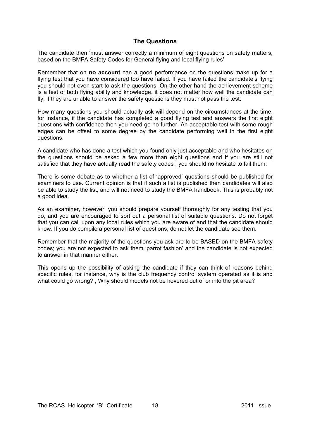#### **The Questions**

The candidate then 'must answer correctly a minimum of eight questions on safety matters, based on the BMFA Safety Codes for General flying and local flying rules'

Remember that on **no account** can a good performance on the questions make up for a flying test that you have considered too have failed. If you have failed the candidate's flying you should not even start to ask the questions. On the other hand the achievement scheme is a test of both flying ability and knowledge. it does not matter how well the candidate can fly, if they are unable to answer the safety questions they must not pass the test.

How many questions you should actually ask will depend on the circumstances at the time. for instance, if the candidate has completed a good flying test and answers the first eight questions with confidence then you need go no further. An acceptable test with some rough edges can be offset to some degree by the candidate performing well in the first eight questions.

A candidate who has done a test which you found only just acceptable and who hesitates on the questions should be asked a few more than eight questions and if you are still not satisfied that they have actually read the safety codes , you should no hesitate to fail them.

There is some debate as to whether a list of 'approved' questions should be published for examiners to use. Current opinion is that if such a list is published then candidates will also be able to study the list, and will not need to study the BMFA handbook. This is probably not a good idea.

As an examiner, however, you should prepare yourself thoroughly for any testing that you do, and you are encouraged to sort out a personal list of suitable questions. Do not forget that you can call upon any local rules which you are aware of and that the candidate should know. If you do compile a personal list of questions, do not let the candidate see them.

Remember that the majority of the questions you ask are to be BASED on the BMFA safety codes; you are not expected to ask them 'parrot fashion' and the candidate is not expected to answer in that manner either.

This opens up the possibility of asking the candidate if they can think of reasons behind specific rules, for instance, why is the club frequency control system operated as it is and what could go wrong? , Why should models not be hovered out of or into the pit area?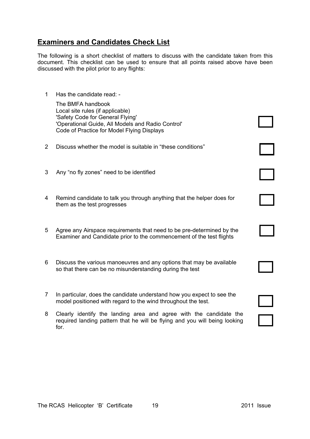## **Examiners and Candidates Check List**

The following is a short checklist of matters to discuss with the candidate taken from this document. This checklist can be used to ensure that all points raised above have been discussed with the pilot prior to any flights:

1 Has the candidate read: -

 The BMFA handbook Local site rules (if applicable) 'Safety Code for General Flying' 'Operational Guide, All Models and Radio Control' Code of Practice for Model Flying Displays

- 2 Discuss whether the model is suitable in "these conditions"
- 3 Any "no fly zones" need to be identified
- 4 Remind candidate to talk you through anything that the helper does for them as the test progresses
- 5 Agree any Airspace requirements that need to be pre-determined by the Examiner and Candidate prior to the commencement of the test flights
- 6 Discuss the various manoeuvres and any options that may be available so that there can be no misunderstanding during the test
- 7 In particular, does the candidate understand how you expect to see the model positioned with regard to the wind throughout the test.
- 8 Clearly identify the landing area and agree with the candidate the required landing pattern that he will be flying and you will being looking for.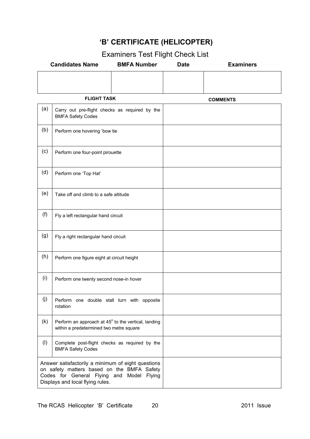## **'B' CERTIFICATE (HELICOPTER)**

|  | Examiners Test Flight Check List |  |
|--|----------------------------------|--|
|--|----------------------------------|--|

| <b>Candidates Name</b> |                                                                                                                                                                                   | <b>BMFA Number</b> | <b>Date</b>     | <b>Examiners</b> |
|------------------------|-----------------------------------------------------------------------------------------------------------------------------------------------------------------------------------|--------------------|-----------------|------------------|
|                        |                                                                                                                                                                                   |                    |                 |                  |
| <b>FLIGHT TASK</b>     |                                                                                                                                                                                   |                    | <b>COMMENTS</b> |                  |
| (a)                    | Carry out pre-flight checks as required by the<br><b>BMFA Safety Codes</b>                                                                                                        |                    |                 |                  |
| (b)                    | Perform one hovering 'bow tie                                                                                                                                                     |                    |                 |                  |
| (c)                    | Perform one four-point pirouette                                                                                                                                                  |                    |                 |                  |
| (d)                    | Perform one 'Top Hat'                                                                                                                                                             |                    |                 |                  |
| (e)                    | Take off and climb to a safe altitude                                                                                                                                             |                    |                 |                  |
| (f)                    | Fly a left rectangular hand circuit                                                                                                                                               |                    |                 |                  |
| (g)                    | Fly a right rectangular hand circuit                                                                                                                                              |                    |                 |                  |
| (h)                    | Perform one figure eight at circuit height                                                                                                                                        |                    |                 |                  |
| (i)                    | Perform one twenty second nose-in hover                                                                                                                                           |                    |                 |                  |
| (j)                    | Perform one double stall turn with opposite<br>rotation                                                                                                                           |                    |                 |                  |
| (k)                    | Perform an approach at 45° to the vertical, landing<br>within a predetermined two metre square                                                                                    |                    |                 |                  |
| (1)                    | Complete post-flight checks as required by the<br><b>BMFA Safety Codes</b>                                                                                                        |                    |                 |                  |
|                        | Answer satisfactorily a minimum of eight questions<br>on safety matters based on the BMFA Safety<br>Codes for General Flying and Model Flying<br>Displays and local flying rules. |                    |                 |                  |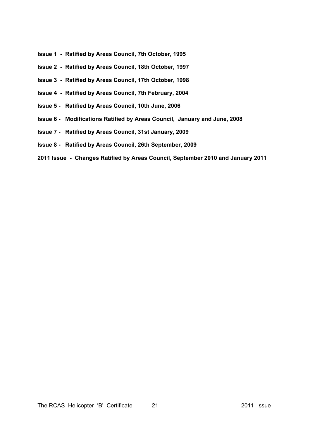- **Issue 1 Ratified by Areas Council, 7th October, 1995**
- **Issue 2 Ratified by Areas Council, 18th October, 1997**
- **Issue 3 Ratified by Areas Council, 17th October, 1998**
- **Issue 4 Ratified by Areas Council, 7th February, 2004**
- **Issue 5 Ratified by Areas Council, 10th June, 2006**
- **Issue 6 Modifications Ratified by Areas Council, January and June, 2008**
- **Issue 7 Ratified by Areas Council, 31st January, 2009**
- **Issue 8 Ratified by Areas Council, 26th September, 2009**
- **2011 Issue Changes Ratified by Areas Council, September 2010 and January 2011**